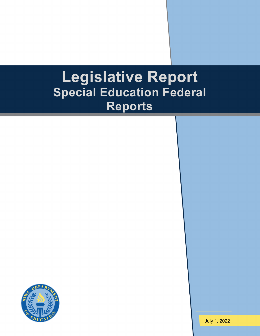# **Legislative Report Special Education Federal Reports**

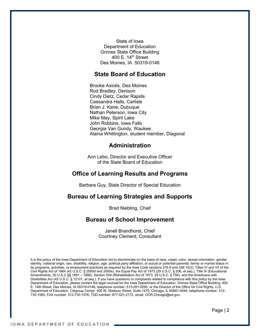State of Iowa Department of Education Grimes State Office Building 400 E.  $14<sup>th</sup>$  Street Des Moines, IA 50319-0146

## **State Board of Education**

Brooke Axiotis, Des Moines Rod Bradley, Denison Cindy Dietz, Cedar Rapids Cassandra Halls, Carlisle Brian J. Kane, Dubuque Nathan Peterson, Iowa City Mike May, Spirit Lake John Robbins, Iowa Falls Georgia Van Gundy, Waukee Alaina Whittington, student member, Diagonal

### **Administration**

Ann Lebo, Director and Executive Officer of the State Board of Education

## **Office of Learning Results and Programs**

Barbara Guy, State Director of Special Education

# **Bureau of Learning Strategies and Supports**

Brad Niebling, Chief

#### **Bureau of School Improvement**

Janell Brandhorst, Chief Courtney Clement, Consultant

It is the policy of the Iowa Department of Education not to discriminate on the basis of race, creed, color, sexual orientation, gender identity, national origin, sex, disability, religion, age, political party affiliation, or actual or potential parental, family or marital status in its programs, activities, or employment practices as required by the Iowa Code sections 216.9 and 256.10(2), Titles VI and VII of the Civil Rights Act of 1964 (42 U.S.C. § 2000d and 2000e), the Equal Pay Act of 1973 (29 U.S.C. § 206, et seq.), Title IX (Educational Amendments, 20 U.S.C.§§ 1681 – 1688), Section 504 (Rehabilitation Act of 1973, 29 U.S.C. § 794), and the Americans with Disabilities Act (42 U.S.C. § 12101, et seq.). If you have questions or complaints related to compliance with this policy by the Iowa Department of Education, please contact the legal counsel for the Iowa Department of Education, Grimes State Office Building, 400 E. 14th Street, Des Moines, IA 50319-0146, telephone number: 515-281-5295, or the Director of the Office for Civil Rights, U.S. Department of Education, Citigroup Center, 500 W. Madison Street, Suite 1475, Chicago, IL 60661-4544, telephone number: 312- 730-1560, FAX number: 312-730-1576, TDD number: 877-521-2172, email: OCR.Chicago@ed.gov.